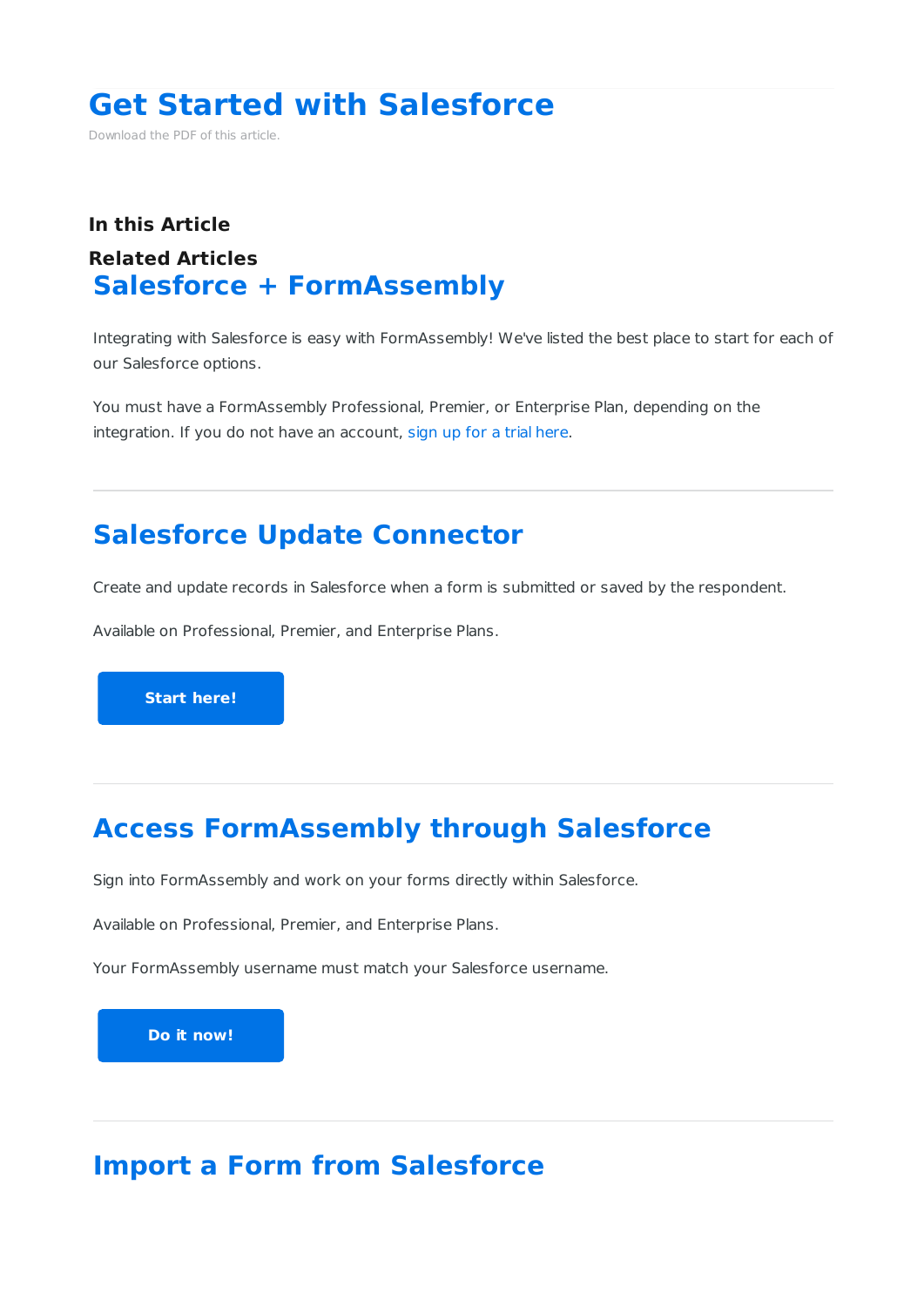# **Get Started with Salesforce**

Download the PDF of this article.

#### **In this Article Related Articles Salesforce + FormAssembly**

Integrating with Salesforce is easy with FormAssembly! We've listed the best place to start for each of our Salesforce options.

You must have a FormAssembly Professional, Premier, or Enterprise Plan, depending on the integration. If you do not have an account, sign up for a trial here.

# **Salesforce Update Connector**

Create and update records in Salesforce when a form is submitted or saved by the respondent.

Available on Professional, Premier, and Enterprise Plans.

**Start here!**

## **Access FormAssembly through Salesforce**

Sign into FormAssembly and work on your forms directly within Salesforce.

Available on Professional, Premier, and Enterprise Plans.

Your FormAssembly username must match your Salesforce username.

**Do it now!**

# **Import a Form from Salesforce**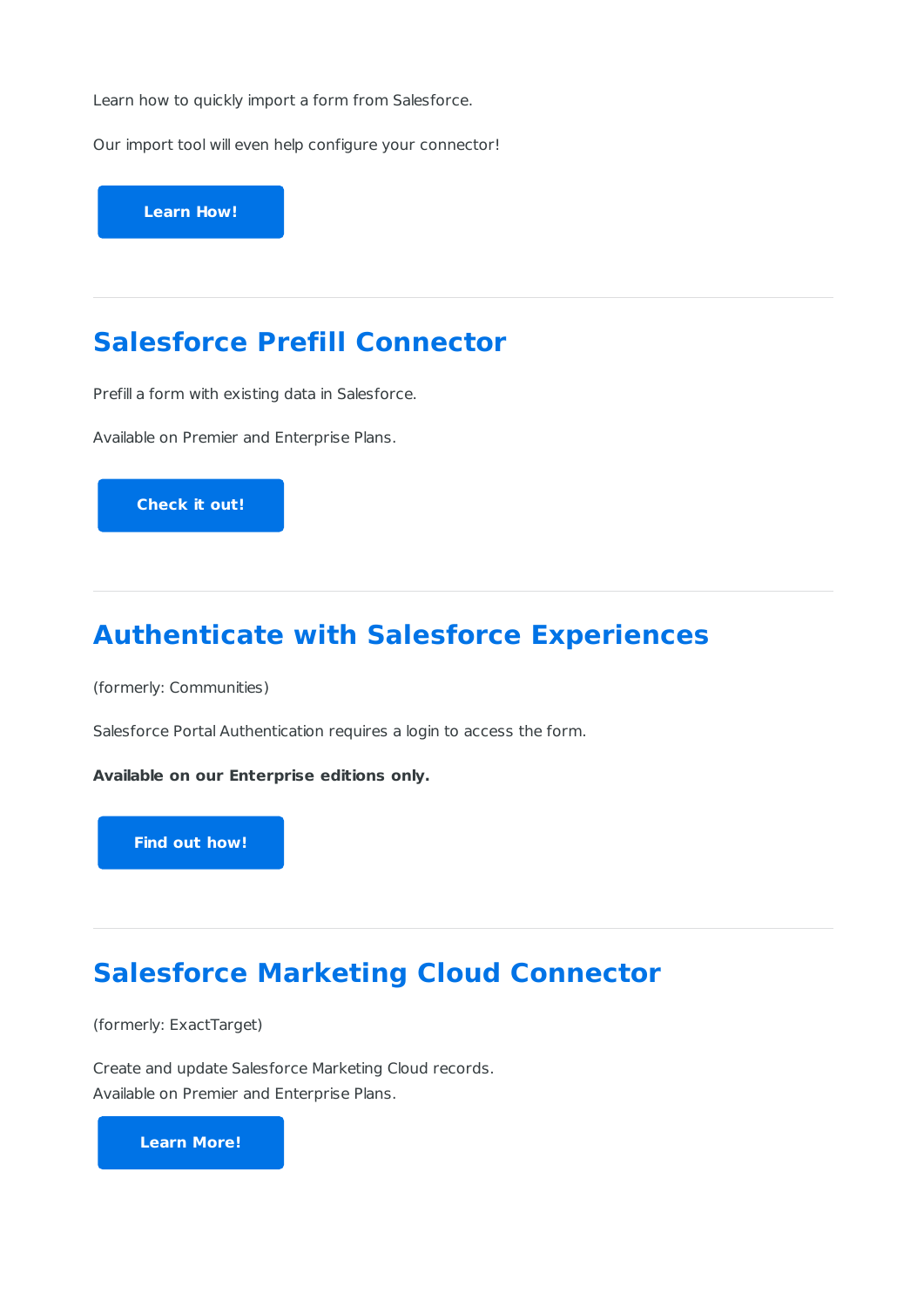Learn how to quickly import a form from Salesforce.

Our import tool will even help configure your connector!

**Learn How!**

#### **Salesforce Prefill Connector**

Prefill a form with existing data in Salesforce.

Available on Premier and Enterprise Plans.

**Check it out!**

## **Authenticate with Salesforce Experiences**

(formerly: Communities)

Salesforce Portal Authentication requires a login to access the form.

**Available on our Enterprise editions only.**

**Find out how!**

### **Salesforce Marketing Cloud Connector**

(formerly: ExactTarget)

Create and update Salesforce Marketing Cloud records. Available on Premier and Enterprise Plans.

**Learn More!**